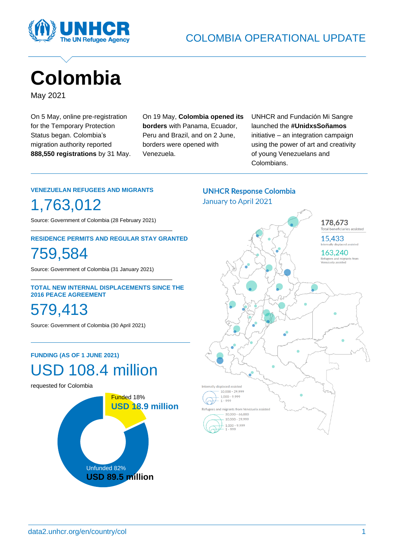

# **Colombia**

May 2021

On 5 May, online pre-registration for the Temporary Protection Status began. Colombia's migration authority reported **888,550 registrations** by 31 May. On 19 May, **Colombia opened its borders** with Panama, Ecuador, Peru and Brazil, and on 2 June, borders were opened with Venezuela.

UNHCR and Fundación Mi Sangre launched the **#UnidxsSoñamos** initiative – an integration campaign using the power of art and creativity of young Venezuelans and Colombians.

#### **VENEZUELAN REFUGEES AND MIGRANTS**

1,763,012

Source: Government of Colombia (28 February 2021)

#### **RESIDENCE PERMITS AND REGULAR STAY GRANTED**

759,584

Source: Government of Colombia (31 January 2021)

#### **TOTAL NEW INTERNAL DISPLACEMENTS SINCE THE 2016 PEACE AGREEMENT**

579,413

Source: Government of Colombia (30 April 2021)

#### **FUNDING (AS OF 1 JUNE 2021)**



requested for Colombia



### **UNHCR Response Colombia** January to April 2021

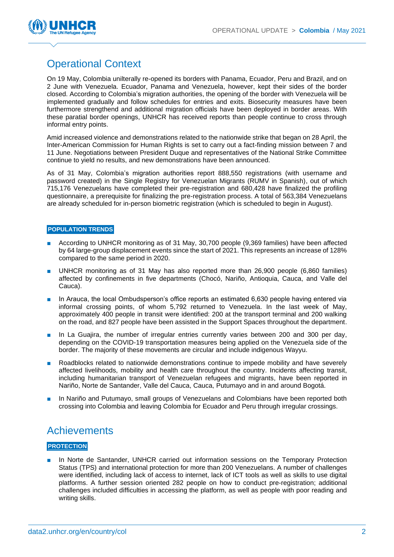

## Operational Context

On 19 May, Colombia unilterally re-opened its borders with Panama, Ecuador, Peru and Brazil, and on 2 June with Venezuela. Ecuador, Panama and Venezuela, however, kept their sides of the border closed. According to Colombia's migration authorities, the opening of the border with Venezuela will be implemented gradually and follow schedules for entries and exits. Biosecurity measures have been furthermore strengthend and additional migration officials have been deployed in border areas. With these paratial border openings, UNHCR has received reports than people continue to cross through informal entry points.

Amid increased violence and demonstrations related to the nationwide strike that began on 28 April, the Inter-American Commission for Human Rights is set to carry out a fact-finding mission between 7 and 11 June. Negotiations between President Duque and representatives of the National Strike Committee continue to yield no results, and new demonstrations have been announced.

As of 31 May, Colombia's migration authorities report 888,550 registrations (with username and password created) in the Single Registry for Venezuelan Migrants (RUMV in Spanish), out of which 715,176 Venezuelans have completed their pre-registration and 680,428 have finalized the profiling questionnaire, a prerequisite for finalizing the pre-registration process. A total of 563,384 Venezuelans are already scheduled for in-person biometric registration (which is scheduled to begin in August).

#### **POPULATION TRENDS**

- According to UNHCR monitoring as of 31 May, 30,700 people (9,369 families) have been affected by 64 large-group displacement events since the start of 2021. This represents an increase of 128% compared to the same period in 2020.
- UNHCR monitoring as of 31 May has also reported more than 26,900 people (6,860 families) affected by confinements in five departments (Chocó, Nariño, Antioquia, Cauca, and Valle del Cauca).
- In Arauca, the local Ombudsperson's office reports an estimated 6,630 people having entered via informal crossing points, of whom 5,792 returned to Venezuela. In the last week of May, approximately 400 people in transit were identified: 200 at the transport terminal and 200 walking on the road, and 827 people have been assisted in the Support Spaces throughout the department.
- In La Guajira, the number of irregular entries currently varies between 200 and 300 per day, depending on the COVID-19 transportation measures being applied on the Venezuela side of the border. The majority of these movements are circular and include indigenous Wayyu.
- Roadblocks related to nationwide demonstrations continue to impede mobility and have severely affected livelihoods, mobility and health care throughout the country. Incidents affecting transit, including humanitarian transport of Venezuelan refugees and migrants, have been reported in Nariño, Norte de Santander, Valle del Cauca, Cauca, Putumayo and in and around Bogotá.
- In Nariño and Putumayo, small groups of Venezuelans and Colombians have been reported both crossing into Colombia and leaving Colombia for Ecuador and Peru through irregular crossings.

## **Achievements**

#### **PROTECTION**

In Norte de Santander, UNHCR carried out information sessions on the Temporary Protection Status (TPS) and international protection for more than 200 Venezuelans. A number of challenges were identified, including lack of access to internet, lack of ICT tools as well as skills to use digital platforms. A further session oriented 282 people on how to conduct pre-registration; additional challenges included difficulties in accessing the platform, as well as people with poor reading and writing skills.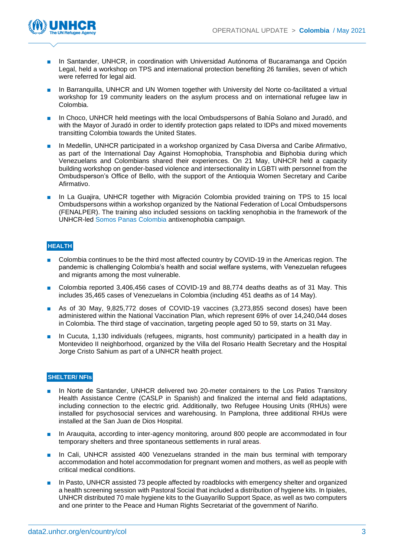

- In Santander, UNHCR, in coordination with Universidad Autónoma of Bucaramanga and Opción Legal, held a workshop on TPS and international protection benefiting 26 families, seven of which were referred for legal aid.
- In Barranquilla, UNHCR and UN Women together with University del Norte co-facilitated a virtual workshop for 19 community leaders on the asylum process and on international refugee law in Colombia.
- In Choco, UNHCR held meetings with the local Ombudspersons of Bahía Solano and Juradó, and with the Mayor of Juradó in order to identify protection gaps related to IDPs and mixed movements transitting Colombia towards the United States.
- In Medellin, UNHCR participated in a workshop organized by Casa Diversa and Caribe Afirmativo, as part of the International Day Against Homophobia, Transphobia and Biphobia during which Venezuelans and Colombians shared their experiences. On 21 May, UNHCR held a capacity building workshop on gender-based violence and intersectionality in LGBTI with personnel from the Ombudsperson's Office of Bello, with the support of the Antioquia Women Secretary and Caribe Afirmativo.
- In La Guajira, UNHCR together with Migración Colombia provided training on TPS to 15 local Ombudspersons within a workshop organized by the National Federation of Local Ombudspersons (FENALPER). The training also included sessions on tackling xenophobia in the framework of the UNHCR-led [Somos Panas Colombia](https://somospanascolombia.com/) antixenophobia campaign.

#### **HEALTH**

- Colombia continues to be the third most affected country by COVID-19 in the Americas region. The pandemic is challenging Colombia's health and social welfare systems, with Venezuelan refugees and migrants among the most vulnerable.
- Colombia reported 3,406,456 cases of COVID-19 and 88,774 deaths deaths as of 31 May. This includes 35,465 cases of Venezuelans in Colombia (including 451 deaths as of 14 May).
- As of 30 May, 9,825,772 doses of COVID-19 vaccines (3,273,855 second doses) have been administered within the National Vaccination Plan, which represent 69% of over 14,240,044 doses in Colombia. The third stage of vaccination, targeting people aged 50 to 59, starts on 31 May.
- In Cucuta, 1,130 individuals (refugees, migrants, host community) participated in a health day in Montevideo II neighborhood, organized by the Villa del Rosario Health Secretary and the Hospital Jorge Cristo Sahium as part of a UNHCR health project.

#### **SHELTER/ NFIs**

- In Norte de Santander, UNHCR delivered two 20-meter containers to the Los Patios Transitory Health Assistance Centre (CASLP in Spanish) and finalized the internal and field adaptations, including connection to the electric grid. Additionally, two Refugee Housing Units (RHUs) were installed for psychosocial services and warehousing. In Pamplona, three additional RHUs were installed at the San Juan de Dios Hospital.
- In Arauquita, according to inter-agency monitoring, around 800 people are accommodated in four temporary shelters and three spontaneous settlements in rural areas.
- In Cali, UNHCR assisted 400 Venezuelans stranded in the main bus terminal with temporary accommodation and hotel accommodation for pregnant women and mothers, as well as people with critical medical conditions.
- In Pasto, UNHCR assisted 73 people affected by roadblocks with emergency shelter and organized a health screening session with Pastoral Social that included a distribution of hygiene kits. In Ipiales, UNHCR distributed 70 male hygiene kits to the Guayarillo Support Space, as well as two computers and one printer to the Peace and Human Rights Secretariat of the government of Nariño.